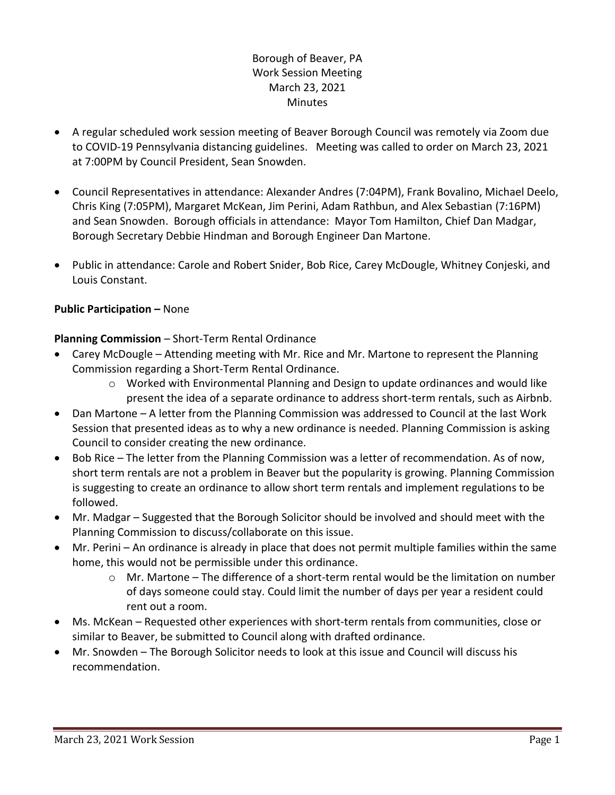# Borough of Beaver, PA Work Session Meeting March 23, 2021 **Minutes**

- A regular scheduled work session meeting of Beaver Borough Council was remotely via Zoom due to COVID-19 Pennsylvania distancing guidelines. Meeting was called to order on March 23, 2021 at 7:00PM by Council President, Sean Snowden.
- Council Representatives in attendance: Alexander Andres (7:04PM), Frank Bovalino, Michael Deelo, Chris King (7:05PM), Margaret McKean, Jim Perini, Adam Rathbun, and Alex Sebastian (7:16PM) and Sean Snowden. Borough officials in attendance: Mayor Tom Hamilton, Chief Dan Madgar, Borough Secretary Debbie Hindman and Borough Engineer Dan Martone.
- Public in attendance: Carole and Robert Snider, Bob Rice, Carey McDougle, Whitney Conjeski, and Louis Constant.

## **Public Participation –** None

## **Planning Commission** – Short-Term Rental Ordinance

- Carey McDougle Attending meeting with Mr. Rice and Mr. Martone to represent the Planning Commission regarding a Short-Term Rental Ordinance.
	- $\circ$  Worked with Environmental Planning and Design to update ordinances and would like present the idea of a separate ordinance to address short-term rentals, such as Airbnb.
- Dan Martone A letter from the Planning Commission was addressed to Council at the last Work Session that presented ideas as to why a new ordinance is needed. Planning Commission is asking Council to consider creating the new ordinance.
- Bob Rice The letter from the Planning Commission was a letter of recommendation. As of now, short term rentals are not a problem in Beaver but the popularity is growing. Planning Commission is suggesting to create an ordinance to allow short term rentals and implement regulations to be followed.
- Mr. Madgar Suggested that the Borough Solicitor should be involved and should meet with the Planning Commission to discuss/collaborate on this issue.
- Mr. Perini An ordinance is already in place that does not permit multiple families within the same home, this would not be permissible under this ordinance.
	- $\circ$  Mr. Martone The difference of a short-term rental would be the limitation on number of days someone could stay. Could limit the number of days per year a resident could rent out a room.
- Ms. McKean Requested other experiences with short-term rentals from communities, close or similar to Beaver, be submitted to Council along with drafted ordinance.
- Mr. Snowden The Borough Solicitor needs to look at this issue and Council will discuss his recommendation.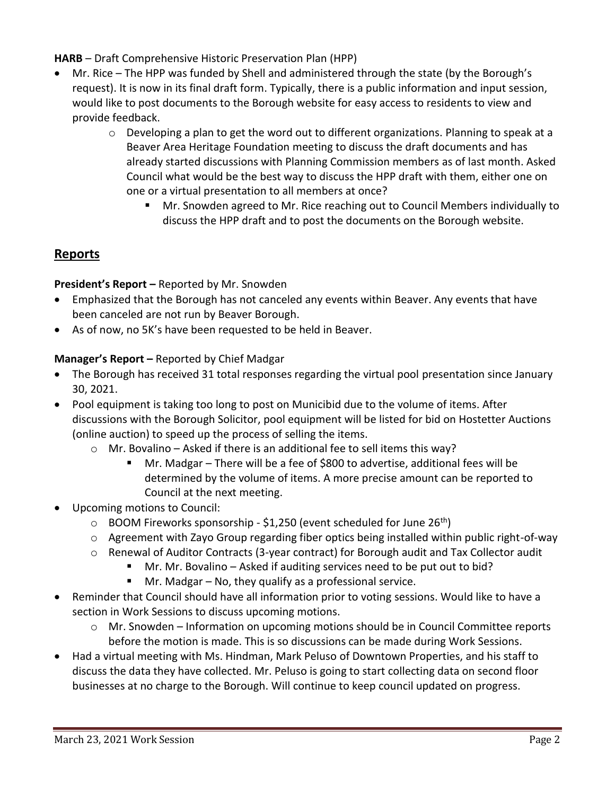**HARB** – Draft Comprehensive Historic Preservation Plan (HPP)

- Mr. Rice The HPP was funded by Shell and administered through the state (by the Borough's request). It is now in its final draft form. Typically, there is a public information and input session, would like to post documents to the Borough website for easy access to residents to view and provide feedback.
	- o Developing a plan to get the word out to different organizations. Planning to speak at a Beaver Area Heritage Foundation meeting to discuss the draft documents and has already started discussions with Planning Commission members as of last month. Asked Council what would be the best way to discuss the HPP draft with them, either one on one or a virtual presentation to all members at once?
		- Mr. Snowden agreed to Mr. Rice reaching out to Council Members individually to discuss the HPP draft and to post the documents on the Borough website.

# **Reports**

**President's Report –** Reported by Mr. Snowden

- Emphasized that the Borough has not canceled any events within Beaver. Any events that have been canceled are not run by Beaver Borough.
- As of now, no 5K's have been requested to be held in Beaver.

## **Manager's Report –** Reported by Chief Madgar

- The Borough has received 31 total responses regarding the virtual pool presentation since January 30, 2021.
- Pool equipment is taking too long to post on Municibid due to the volume of items. After discussions with the Borough Solicitor, pool equipment will be listed for bid on Hostetter Auctions (online auction) to speed up the process of selling the items.
	- o Mr. Bovalino Asked if there is an additional fee to sell items this way?
		- Mr. Madgar There will be a fee of \$800 to advertise, additional fees will be determined by the volume of items. A more precise amount can be reported to Council at the next meeting.
- Upcoming motions to Council:
	- $\circ$  BOOM Fireworks sponsorship \$1,250 (event scheduled for June 26<sup>th</sup>)
	- o Agreement with Zayo Group regarding fiber optics being installed within public right-of-way
	- o Renewal of Auditor Contracts (3-year contract) for Borough audit and Tax Collector audit
		- Mr. Mr. Bovalino Asked if auditing services need to be put out to bid?
		- $\blacksquare$  Mr. Madgar No, they qualify as a professional service.
- Reminder that Council should have all information prior to voting sessions. Would like to have a section in Work Sessions to discuss upcoming motions.
	- o Mr. Snowden Information on upcoming motions should be in Council Committee reports before the motion is made. This is so discussions can be made during Work Sessions.
- Had a virtual meeting with Ms. Hindman, Mark Peluso of Downtown Properties, and his staff to discuss the data they have collected. Mr. Peluso is going to start collecting data on second floor businesses at no charge to the Borough. Will continue to keep council updated on progress.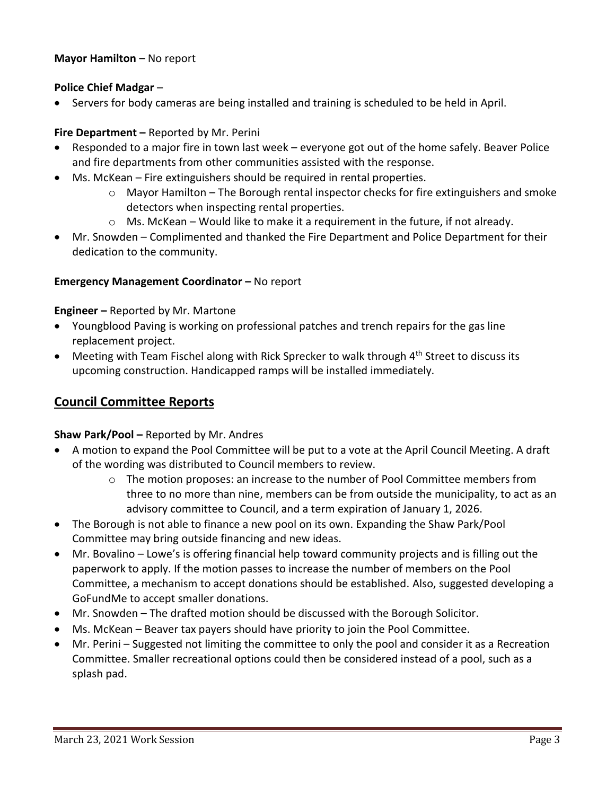## **Mayor Hamilton** – No report

## **Police Chief Madgar** –

Servers for body cameras are being installed and training is scheduled to be held in April.

## **Fire Department –** Reported by Mr. Perini

- Responded to a major fire in town last week everyone got out of the home safely. Beaver Police and fire departments from other communities assisted with the response.
- Ms. McKean Fire extinguishers should be required in rental properties.
	- $\circ$  Mayor Hamilton The Borough rental inspector checks for fire extinguishers and smoke detectors when inspecting rental properties.
	- $\circ$  Ms. McKean Would like to make it a requirement in the future, if not already.
- Mr. Snowden Complimented and thanked the Fire Department and Police Department for their dedication to the community.

#### **Emergency Management Coordinator - No report**

#### **Engineer –** Reported by Mr. Martone

- Youngblood Paving is working on professional patches and trench repairs for the gas line replacement project.
- Meeting with Team Fischel along with Rick Sprecker to walk through 4<sup>th</sup> Street to discuss its upcoming construction. Handicapped ramps will be installed immediately.

# **Council Committee Reports**

#### **Shaw Park/Pool –** Reported by Mr. Andres

- A motion to expand the Pool Committee will be put to a vote at the April Council Meeting. A draft of the wording was distributed to Council members to review.
	- $\circ$  The motion proposes: an increase to the number of Pool Committee members from three to no more than nine, members can be from outside the municipality, to act as an advisory committee to Council, and a term expiration of January 1, 2026.
- The Borough is not able to finance a new pool on its own. Expanding the Shaw Park/Pool Committee may bring outside financing and new ideas.
- Mr. Bovalino Lowe's is offering financial help toward community projects and is filling out the paperwork to apply. If the motion passes to increase the number of members on the Pool Committee, a mechanism to accept donations should be established. Also, suggested developing a GoFundMe to accept smaller donations.
- Mr. Snowden The drafted motion should be discussed with the Borough Solicitor.
- Ms. McKean Beaver tax payers should have priority to join the Pool Committee.
- Mr. Perini Suggested not limiting the committee to only the pool and consider it as a Recreation Committee. Smaller recreational options could then be considered instead of a pool, such as a splash pad.